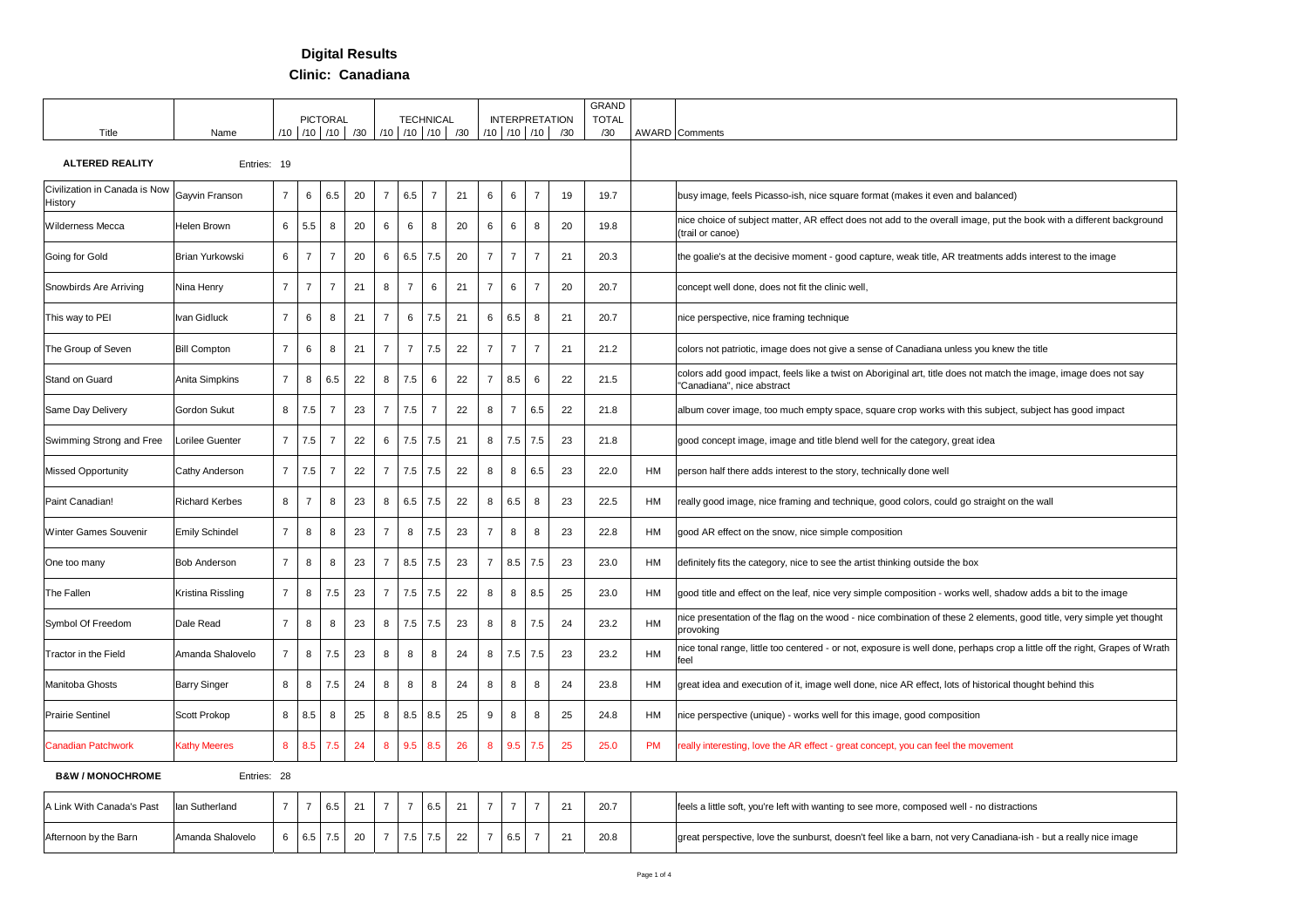## **Digital Results**

**Clinic: Canadiana**

|                                          |                       |                |                |                |                                               |                |                |                  |    |                |                |                   |                       | <b>GRAND</b> |           |                                                                                                                                                |
|------------------------------------------|-----------------------|----------------|----------------|----------------|-----------------------------------------------|----------------|----------------|------------------|----|----------------|----------------|-------------------|-----------------------|--------------|-----------|------------------------------------------------------------------------------------------------------------------------------------------------|
|                                          |                       |                |                | PICTORAL       |                                               |                |                | <b>TECHNICAL</b> |    |                |                |                   | <b>INTERPRETATION</b> | <b>TOTAL</b> |           |                                                                                                                                                |
| Title                                    | Name                  |                |                |                | /10   /10   /10   /30   /10   /10   /10   /30 |                |                |                  |    |                |                | $/10$ $/10$ $/10$ | /30                   | /30          |           | <b>AWARD</b> Comments                                                                                                                          |
| <b>ALTERED REALITY</b>                   | Entries: 19           |                |                |                |                                               |                |                |                  |    |                |                |                   |                       |              |           |                                                                                                                                                |
| Civilization in Canada is Now<br>History | Gayvin Franson        | $\overline{7}$ | 6              | 6.5            | 20                                            | $\overline{7}$ | 6.5            | $\overline{7}$   | 21 | 6              | 6              | $\overline{7}$    | 19                    | 19.7         |           | busy image, feels Picasso-ish, nice square format (makes it even and balanced)                                                                 |
| Wilderness Mecca                         | Helen Brown           | 6              | 5.5            | 8              | 20                                            | 6              | 6              | $\bf 8$          | 20 | 6              | 6              | 8                 | 20                    | 19.8         |           | nice choice of subject matter, AR effect does not add to the overall image, put the book with a different background<br>(trail or canoe)       |
| Going for Gold                           | Brian Yurkowski       | 6              | $\overline{7}$ | $\overline{7}$ | 20                                            | 6              | 6.5            | 7.5              | 20 | $\overline{7}$ | $\overline{7}$ | $\overline{7}$    | 21                    | 20.3         |           | the goalie's at the decisive moment - good capture, weak title, AR treatments adds interest to the image                                       |
| Snowbirds Are Arriving                   | Nina Henry            | $\overline{7}$ | $\overline{7}$ | $\overline{7}$ | 21                                            | 8              | $\overline{7}$ | 6                | 21 | $\overline{7}$ | 6              | $\overline{7}$    | 20                    | 20.7         |           | concept well done, does not fit the clinic well,                                                                                               |
| This way to PEI                          | Ivan Gidluck          | $\overline{7}$ | 6              | 8              | 21                                            | $\overline{7}$ | 6              | 7.5              | 21 | 6              | 6.5            | 8                 | 21                    | 20.7         |           | nice perspective, nice framing technique                                                                                                       |
| The Group of Seven                       | <b>Bill Compton</b>   | $\overline{7}$ | 6              | 8              | 21                                            | $\overline{7}$ | $\overline{7}$ | 7.5              | 22 | $\overline{7}$ | $\overline{7}$ | $\overline{7}$    | 21                    | 21.2         |           | colors not patriotic, image does not give a sense of Canadiana unless you knew the title                                                       |
| Stand on Guard                           | Anita Simpkins        | $\overline{7}$ | 8              | 6.5            | 22                                            | 8              | 7.5            | 6                | 22 | $\overline{7}$ | 8.5            | 6                 | 22                    | 21.5         |           | colors add good impact, feels like a twist on Aboriginal art, title does not match the image, image does not say<br>"Canadiana", nice abstract |
| Same Day Delivery                        | Gordon Sukut          | 8              | 7.5            | $\overline{7}$ | 23                                            | $\overline{7}$ | 7.5            | $\overline{7}$   | 22 | 8              | $\overline{7}$ | 6.5               | 22                    | 21.8         |           | album cover image, too much empty space, square crop works with this subject, subject has good impact                                          |
| Swimming Strong and Free                 | Lorilee Guenter       | $\overline{7}$ | 7.5            | $\overline{7}$ | 22                                            | 6              | 7.5            | 7.5              | 21 | 8              | 7.5            | 7.5               | 23                    | 21.8         |           | good concept image, image and title blend well for the category, great idea                                                                    |
| <b>Missed Opportunity</b>                | Cathy Anderson        | $\overline{7}$ | 7.5            | $\overline{7}$ | 22                                            | $\overline{7}$ | 7.5            | 7.5              | 22 | 8              | 8              | 6.5               | 23                    | 22.0         | HM        | person half there adds interest to the story, technically done well                                                                            |
| Paint Canadian!                          | <b>Richard Kerbes</b> | 8              | $\overline{7}$ | 8              | 23                                            | 8              | 6.5            | 7.5              | 22 | 8              | 6.5            | 8                 | 23                    | 22.5         | HM        | really good image, nice framing and technique, good colors, could go straight on the wall                                                      |
| Winter Games Souvenir                    | <b>Emily Schindel</b> | $\overline{7}$ | 8              | 8              | 23                                            | $\overline{7}$ | 8              | 7.5              | 23 | 7              | 8              | 8                 | 23                    | 22.8         | HM        | good AR effect on the snow, nice simple composition                                                                                            |
| One too many                             | <b>Bob Anderson</b>   | $\overline{7}$ | 8              | 8              | 23                                            | $\overline{7}$ | 8.5            | $7.5\,$          | 23 | $\overline{7}$ | 8.5            | 7.5               | 23                    | 23.0         | HM        | definitely fits the category, nice to see the artist thinking outside the box                                                                  |
| The Fallen                               | Kristina Rissling     | $\overline{7}$ | 8              | 7.5            | 23                                            | $\overline{7}$ | 7.5            | 7.5              | 22 | 8              | 8              | 8.5               | 25                    | 23.0         | HM        | good title and effect on the leaf, nice very simple composition - works well, shadow adds a bit to the image                                   |
| Symbol Of Freedom                        | Dale Read             | $\overline{7}$ | 8              | 8              | 23                                            | 8              | 7.5            | 7.5              | 23 | 8              | 8              | 7.5               | 24                    | 23.2         | HM        | nice presentation of the flag on the wood - nice combination of these 2 elements, good title, very simple yet thought<br>provoking             |
| Tractor in the Field                     | Amanda Shalovelo      | $\overline{7}$ | 8              | 7.5            | 23                                            | 8              | 8              | 8                | 24 | 8              | 7.5            | 7.5               | 23                    | 23.2         | HM        | nice tonal range, little too centered - or not, exposure is well done, perhaps crop a little off the right, Grapes of Wrath<br>feel            |
| Manitoba Ghosts                          | <b>Barry Singer</b>   | 8              | 8              | 7.5            | 24                                            | 8              | 8              | 8                | 24 | 8              | 8              | 8                 | 24                    | 23.8         | HM        | great idea and execution of it, image well done, nice AR effect, lots of historical thought behind this                                        |
| <b>Prairie Sentinel</b>                  | Scott Prokop          | 8              | 8.5            | 8              | 25                                            | 8              | $8.5\,$        | 8.5              | 25 | 9              | 8              | 8                 | 25                    | 24.8         | HM        | nice perspective (unique) - works well for this image, good composition                                                                        |
| <b>Canadian Patchwork</b>                | <b>Kathy Meeres</b>   | 8              | 8.5            | 7.5            | 24                                            | 8              | 9.5            | 8.5              | 26 | 8              | 9.5            | 7.5               | 25                    | 25.0         | <b>PM</b> | really interesting, love the AR effect - great concept, you can feel the movement                                                              |
| <b>B&amp;W/MONOCHROME</b>                | Entries: 28           |                |                |                |                                               |                |                |                  |    |                |                |                   |                       |              |           |                                                                                                                                                |
| A Link With Canada's Past                | lan Sutherland        | $\overline{7}$ | $\overline{7}$ | 6.5            | 21                                            | $\overline{7}$ | $\overline{7}$ | 6.5              | 21 | $\overline{7}$ | $\overline{7}$ | $\overline{7}$    | 21                    | 20.7         |           | feels a little soft, you're left with wanting to see more, composed well - no distractions                                                     |
| Afternoon by the Barn                    | Amanda Shalovelo      | 6              | 6.5            | 7.5            | 20                                            | $\overline{7}$ | 7.5            | 7.5              | 22 | $\overline{7}$ | 6.5            | $\overline{7}$    | 21                    | 20.8         |           | great perspective, love the sunburst, doesn't feel like a barn, not very Canadiana-ish - but a really nice image                               |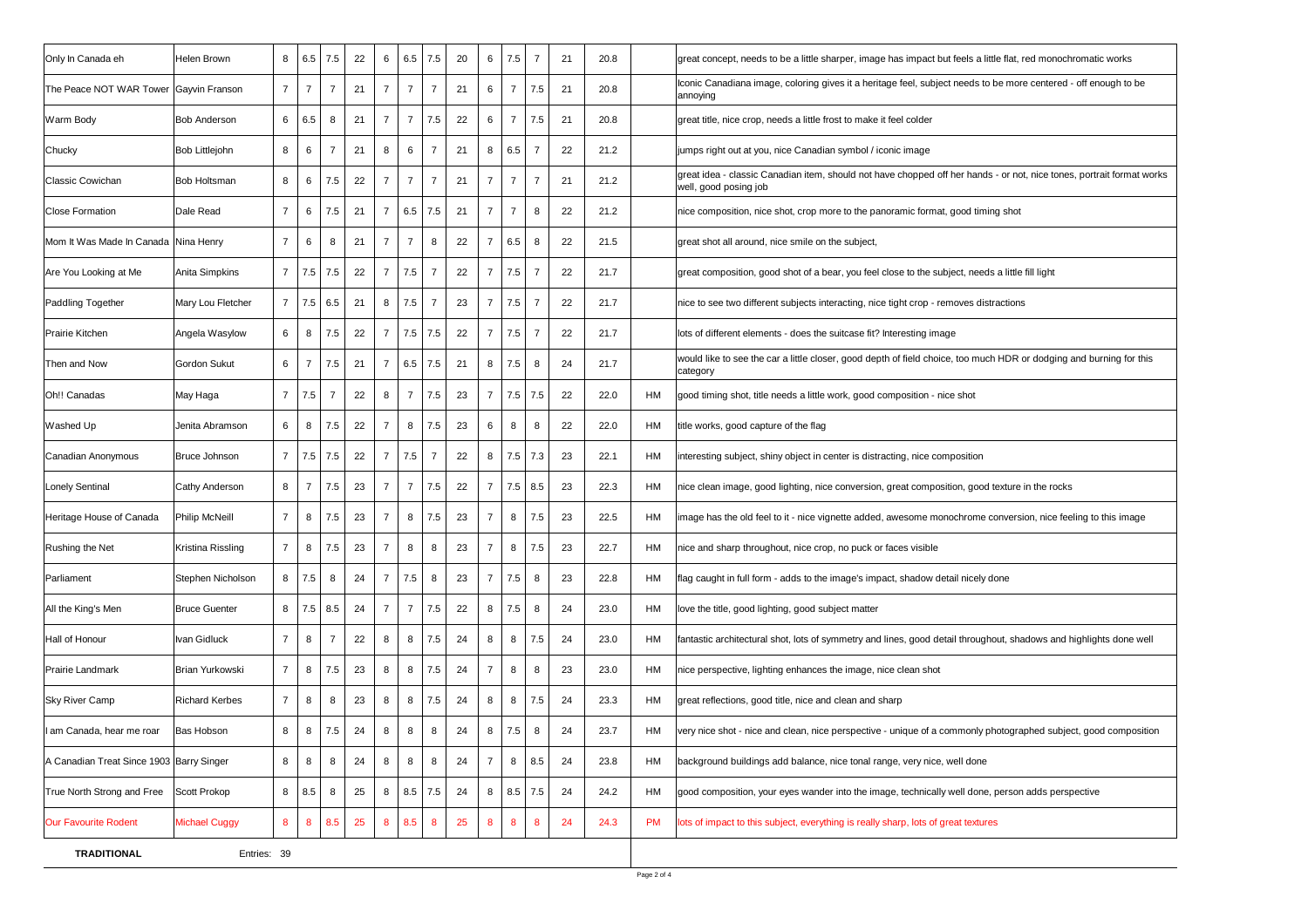| Only In Canada eh                        | Helen Brown           | 8              | 6.5            | 7.5            | 22 | 6              | 6.5            | 7.5            | 20 | 6              | 7.5            | $\overline{7}$ | 21 | 20.8 |    | great concept, needs to be a little sharper, image has impact but feels a little flat, red monochromatic works                                 |
|------------------------------------------|-----------------------|----------------|----------------|----------------|----|----------------|----------------|----------------|----|----------------|----------------|----------------|----|------|----|------------------------------------------------------------------------------------------------------------------------------------------------|
| The Peace NOT WAR Tower Gayvin Franson   |                       | $\overline{7}$ | $\overline{7}$ | $\overline{7}$ | 21 | $\overline{7}$ | $\overline{7}$ | $\overline{7}$ | 21 | 6              | $\overline{7}$ | 7.5            | 21 | 20.8 |    | Iconic Canadiana image, coloring gives it a heritage feel, subject needs to be more centered - off enough to be<br>annoying                    |
| Warm Body                                | <b>Bob Anderson</b>   | 6              | 6.5            | 8              | 21 | $\overline{7}$ | $\overline{7}$ | 7.5            | 22 | 6              | $\overline{7}$ | 7.5            | 21 | 20.8 |    | great title, nice crop, needs a little frost to make it feel colder                                                                            |
| Chucky                                   | <b>Bob Littlejohn</b> | 8              | 6              | $\overline{7}$ | 21 | 8              | 6              | $\overline{7}$ | 21 | 8              | 6.5            | 7              | 22 | 21.2 |    | jumps right out at you, nice Canadian symbol / iconic image                                                                                    |
| <b>Classic Cowichan</b>                  | Bob Holtsman          | 8              | 6              | 7.5            | 22 | $\overline{7}$ | $\overline{7}$ | $\overline{7}$ | 21 | $\overline{7}$ | $\overline{7}$ | $\overline{7}$ | 21 | 21.2 |    | great idea - classic Canadian item, should not have chopped off her hands - or not, nice tones, portrait format works<br>well, good posing job |
| <b>Close Formation</b>                   | Dale Read             | $\overline{7}$ | 6              | 7.5            | 21 | $\overline{7}$ | 6.5            | 7.5            | 21 | $\overline{7}$ | $\overline{7}$ | 8              | 22 | 21.2 |    | nice composition, nice shot, crop more to the panoramic format, good timing shot                                                               |
| Mom It Was Made In Canada Nina Henry     |                       | $\overline{7}$ | 6              | 8              | 21 | $\overline{7}$ | $\overline{7}$ | 8              | 22 | $\overline{7}$ | 6.5            | 8              | 22 | 21.5 |    | great shot all around, nice smile on the subject,                                                                                              |
| Are You Looking at Me                    | Anita Simpkins        | $\overline{7}$ | 7.5            | 7.5            | 22 | $\overline{7}$ | 7.5            | $\overline{7}$ | 22 | $\overline{7}$ | 7.5            | $\overline{7}$ | 22 | 21.7 |    | great composition, good shot of a bear, you feel close to the subject, needs a little fill light                                               |
| Paddling Together                        | Mary Lou Fletcher     | $\overline{7}$ | 7.5            | 6.5            | 21 | 8              | 7.5            | $\overline{7}$ | 23 | $\overline{7}$ | 7.5            | $\overline{7}$ | 22 | 21.7 |    | nice to see two different subjects interacting, nice tight crop - removes distractions                                                         |
| <b>Prairie Kitchen</b>                   | Angela Wasylow        | 6              | 8              | 7.5            | 22 | $\overline{7}$ | 7.5            | 7.5            | 22 | $\overline{7}$ | 7.5            | $\overline{7}$ | 22 | 21.7 |    | lots of different elements - does the suitcase fit? Interesting image                                                                          |
| Then and Now                             | Gordon Sukut          | 6              | $\overline{7}$ | 7.5            | 21 | $\overline{7}$ | 6.5            | 7.5            | 21 | 8              | 7.5            | 8              | 24 | 21.7 |    | would like to see the car a little closer, good depth of field choice, too much HDR or dodging and burning for this<br>category                |
| Oh!! Canadas                             | May Haga              | $\overline{7}$ | 7.5            | $\overline{7}$ | 22 | 8              | $\overline{7}$ | 7.5            | 23 | 7              | 7.5            | 7.5            | 22 | 22.0 | HM | good timing shot, title needs a little work, good composition - nice shot                                                                      |
| Washed Up                                | Jenita Abramson       | 6              | 8              | 7.5            | 22 | $\overline{7}$ | 8              | 7.5            | 23 | 6              | 8              | 8              | 22 | 22.0 | HM | title works, good capture of the flag                                                                                                          |
| Canadian Anonymous                       | Bruce Johnson         | $\overline{7}$ | 7.5            | 7.5            | 22 | $\overline{7}$ | 7.5            | $\overline{7}$ | 22 | 8              | 7.5            | 7.3            | 23 | 22.1 | HM | interesting subject, shiny object in center is distracting, nice composition                                                                   |
| <b>Lonely Sentinal</b>                   | Cathy Anderson        | 8              | $\overline{7}$ | 7.5            | 23 | $\overline{7}$ | $\overline{7}$ | 7.5            | 22 | $\overline{7}$ | 7.5            | 8.5            | 23 | 22.3 | HM | nice clean image, good lighting, nice conversion, great composition, good texture in the rocks                                                 |
| Heritage House of Canada                 | Philip McNeill        | $\overline{7}$ | 8              | 7.5            | 23 | $\overline{7}$ | 8              | 7.5            | 23 | $\overline{7}$ | 8              | 7.5            | 23 | 22.5 | HM | image has the old feel to it - nice vignette added, awesome monochrome conversion, nice feeling to this image                                  |
| Rushing the Net                          | Kristina Rissling     | $\overline{7}$ | 8              | 7.5            | 23 | $\overline{7}$ | 8              | 8              | 23 | $\overline{7}$ | 8              | 7.5            | 23 | 22.7 | HM | nice and sharp throughout, nice crop, no puck or faces visible                                                                                 |
| Parliament                               | Stephen Nicholson     | 8              | 7.5            | 8              | 24 | $\overline{7}$ | 7.5            | 8              | 23 | $\overline{7}$ | 7.5            | 8              | 23 | 22.8 | HM | flag caught in full form - adds to the image's impact, shadow detail nicely done                                                               |
| All the King's Men                       | <b>Bruce Guenter</b>  | 8              | 7.5            | 8.5            | 24 | $\overline{7}$ | $\overline{7}$ | 7.5            | 22 | 8              | 7.5            | 8              | 24 | 23.0 | HM | love the title, good lighting, good subject matter                                                                                             |
| Hall of Honour                           | Ivan Gidluck          | $\overline{7}$ | 8              | $\overline{7}$ | 22 | 8              | 8              | 7.5            | 24 | 8              | 8              | 7.5            | 24 | 23.0 | HM | fantastic architectural shot, lots of symmetry and lines, good detail throughout, shadows and highlights done well                             |
| Prairie Landmark                         | Brian Yurkowski       | $\overline{7}$ | 8              | 7.5            | 23 | 8              | 8              | 7.5            | 24 | $\overline{7}$ | 8              | 8              | 23 | 23.0 | HM | nice perspective, lighting enhances the image, nice clean shot                                                                                 |
| <b>Sky River Camp</b>                    | <b>Richard Kerbes</b> | $\overline{7}$ | 8              | 8              | 23 | 8              | 8              | 7.5            | 24 | 8              | 8              | 7.5            | 24 | 23.3 | HM | great reflections, good title, nice and clean and sharp                                                                                        |
| I am Canada, hear me roar                | Bas Hobson            | 8              | 8              | 7.5            | 24 | 8              | 8              | 8              | 24 | 8              | $7.5\,$        | 8              | 24 | 23.7 | HM | very nice shot - nice and clean, nice perspective - unique of a commonly photographed subject, good composition                                |
| A Canadian Treat Since 1903 Barry Singer |                       | 8              | 8              | 8              | 24 | 8              | 8              | 8              | 24 | $\overline{7}$ | 8              | 8.5            | 24 | 23.8 | HM | background buildings add balance, nice tonal range, very nice, well done                                                                       |
| True North Strong and Free               | Scott Prokop          | 8              | 8.5            | 8              | 25 | 8              | 8.5            | 7.5            | 24 | 8              | 8.5            | 7.5            | 24 | 24.2 | HM | good composition, your eyes wander into the image, technically well done, person adds perspective                                              |
| <b>Our Favourite Rodent</b>              | <b>Michael Cuggy</b>  | 8              | 8              | 8.5            | 25 | 8              | 8.5            | $\bf8$         | 25 | 8              | 8              | 8              | 24 | 24.3 | PM | lots of impact to this subject, everything is really sharp, lots of great textures                                                             |
| <b>TRADITIONAL</b>                       | Entries: 39           |                |                |                |    |                |                |                |    |                |                |                |    |      |    |                                                                                                                                                |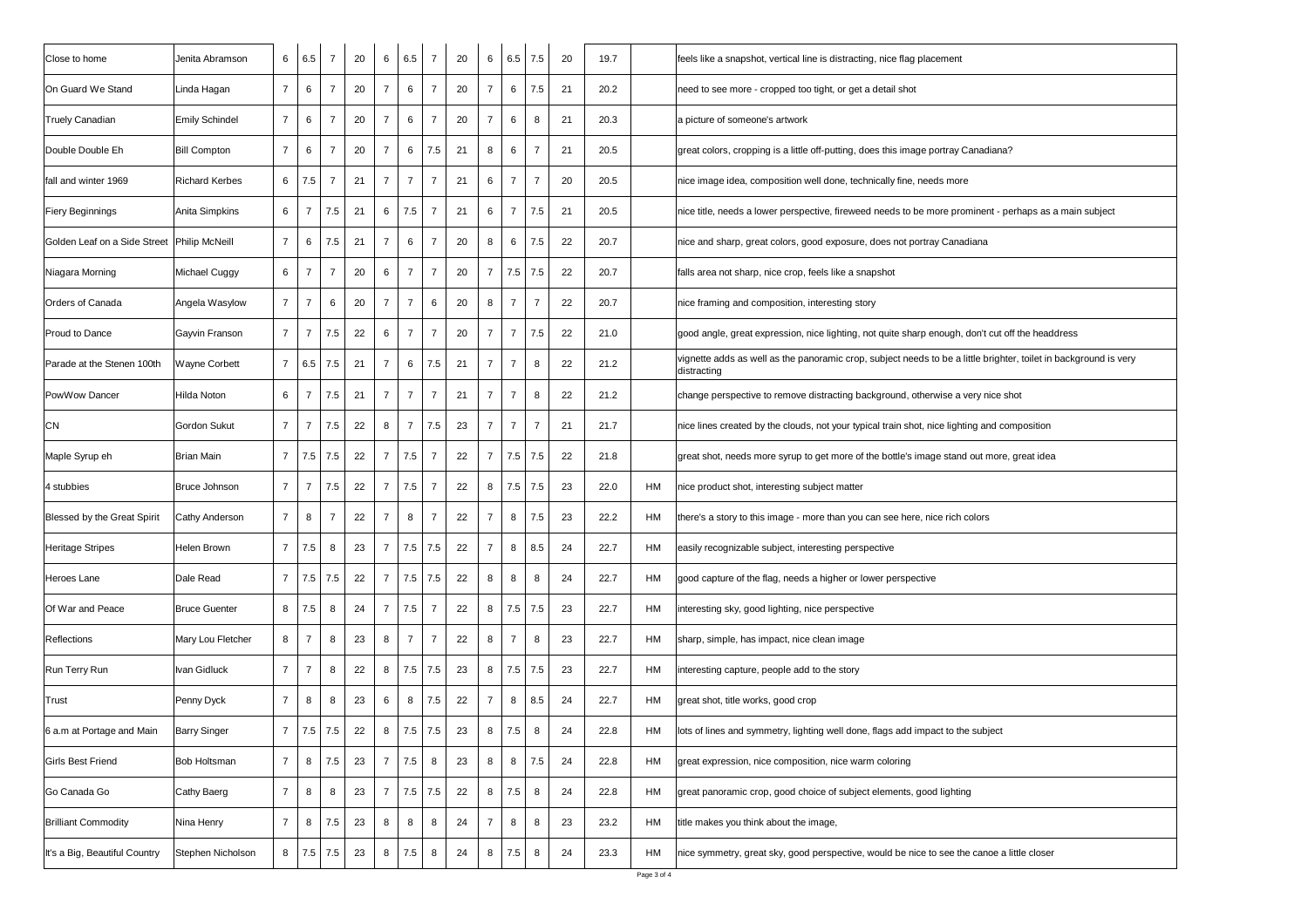| Close to home                               | Jenita Abramson       | 6              | 6.5            | $\overline{7}$ | 20 | 6              | 6.5            | $\overline{7}$ | 20 | 6              | 6.5            | 7.5            | 20 | 19.7 |    | feels like a snapshot, vertical line is distracting, nice flag placement                                                        |
|---------------------------------------------|-----------------------|----------------|----------------|----------------|----|----------------|----------------|----------------|----|----------------|----------------|----------------|----|------|----|---------------------------------------------------------------------------------------------------------------------------------|
| On Guard We Stand                           | Linda Hagan           | $\overline{7}$ | 6              | $\overline{7}$ | 20 | $\overline{7}$ | 6              | $\overline{7}$ | 20 | $\overline{7}$ | 6              | 7.5            | 21 | 20.2 |    | need to see more - cropped too tight, or get a detail shot                                                                      |
| <b>Truely Canadian</b>                      | <b>Emily Schindel</b> | $\overline{7}$ | 6              | $\overline{7}$ | 20 | $\overline{7}$ | 6              | $\overline{7}$ | 20 | $\overline{7}$ | 6              | 8              | 21 | 20.3 |    | a picture of someone's artwork                                                                                                  |
| Double Double Eh                            | <b>Bill Compton</b>   | $\overline{7}$ | 6              | $\overline{7}$ | 20 | $\overline{7}$ | 6              | 7.5            | 21 | 8              | 6              | $\overline{7}$ | 21 | 20.5 |    | great colors, cropping is a little off-putting, does this image portray Canadiana?                                              |
| fall and winter 1969                        | <b>Richard Kerbes</b> | 6              | 7.5            | $\overline{7}$ | 21 | $\overline{7}$ | $\overline{7}$ | $\overline{7}$ | 21 | 6              | $\overline{7}$ | $\overline{7}$ | 20 | 20.5 |    | nice image idea, composition well done, technically fine, needs more                                                            |
| Fiery Beginnings                            | Anita Simpkins        | 6              | $\overline{7}$ | 7.5            | 21 | 6              | 7.5            | $\overline{7}$ | 21 | 6              | $\overline{7}$ | 7.5            | 21 | 20.5 |    | nice title, needs a lower perspective, fireweed needs to be more prominent - perhaps as a main subject                          |
| Golden Leaf on a Side Street Philip McNeill |                       | $\overline{7}$ | 6              | 7.5            | 21 | $\overline{7}$ | 6              | $\overline{7}$ | 20 | 8              | 6              | 7.5            | 22 | 20.7 |    | nice and sharp, great colors, good exposure, does not portray Canadiana                                                         |
| Niagara Morning                             | Michael Cuggy         | 6              | 7              | $\overline{7}$ | 20 | 6              | $\overline{7}$ | $\overline{7}$ | 20 | 7              | 7.5            | 7.5            | 22 | 20.7 |    | falls area not sharp, nice crop, feels like a snapshot                                                                          |
| Orders of Canada                            | Angela Wasylow        | $\overline{7}$ | $\overline{7}$ | 6              | 20 | $\overline{7}$ | $\overline{7}$ | 6              | 20 | 8              | $\overline{7}$ | $\overline{7}$ | 22 | 20.7 |    | nice framing and composition, interesting story                                                                                 |
| Proud to Dance                              | Gayvin Franson        | $\overline{7}$ | $\overline{7}$ | 7.5            | 22 | 6              | $\overline{7}$ | $\overline{7}$ | 20 | $\overline{7}$ | $\overline{7}$ | 7.5            | 22 | 21.0 |    | good angle, great expression, nice lighting, not quite sharp enough, don't cut off the headdress                                |
| Parade at the Stenen 100th                  | Wayne Corbett         | $\overline{7}$ | 6.5            | 7.5            | 21 | $\overline{7}$ | 6              | 7.5            | 21 | $\overline{7}$ | $\overline{7}$ | 8              | 22 | 21.2 |    | vignette adds as well as the panoramic crop, subject needs to be a little brighter, toilet in background is very<br>distracting |
| PowWow Dancer                               | <b>Hilda Noton</b>    | 6              | 7              | 7.5            | 21 | $\overline{7}$ | $\overline{7}$ | $\overline{7}$ | 21 | $\overline{7}$ | $\overline{7}$ | 8              | 22 | 21.2 |    | change perspective to remove distracting background, otherwise a very nice shot                                                 |
| CN                                          | Gordon Sukut          | $\overline{7}$ | $\overline{7}$ | 7.5            | 22 | 8              | $\overline{7}$ | 7.5            | 23 | $\overline{7}$ | $\overline{7}$ | $\overline{7}$ | 21 | 21.7 |    | nice lines created by the clouds, not your typical train shot, nice lighting and composition                                    |
| Maple Syrup eh                              | <b>Brian Main</b>     | $\overline{7}$ | 7.5            | 7.5            | 22 | $\overline{7}$ | 7.5            | $\overline{7}$ | 22 | $\overline{7}$ | 7.5            | 7.5            | 22 | 21.8 |    | great shot, needs more syrup to get more of the bottle's image stand out more, great idea                                       |
| 4 stubbies                                  | Bruce Johnson         | $\overline{7}$ | $\overline{7}$ | 7.5            | 22 | $\overline{7}$ | 7.5            | $\overline{7}$ | 22 | 8              | 7.5            | 7.5            | 23 | 22.0 | HM | nice product shot, interesting subject matter                                                                                   |
| Blessed by the Great Spirit                 | Cathy Anderson        | $\overline{7}$ | 8              | $\overline{7}$ | 22 | $\overline{7}$ | 8              | $\overline{7}$ | 22 | $\overline{7}$ | 8              | 7.5            | 23 | 22.2 | HM | there's a story to this image - more than you can see here, nice rich colors                                                    |
| <b>Heritage Stripes</b>                     | Helen Brown           | $\overline{7}$ | 7.5            | 8              | 23 | $\overline{7}$ | 7.5            | 7.5            | 22 | $\overline{7}$ | 8              | 8.5            | 24 | 22.7 | HM | easily recognizable subject, interesting perspective                                                                            |
| Heroes Lane                                 | Dale Read             | $\overline{7}$ | 7.5            | 7.5            | 22 | $\overline{7}$ | 7.5            | 7.5            | 22 | 8              | 8              | 8              | 24 | 22.7 | HM | good capture of the flag, needs a higher or lower perspective                                                                   |
| Of War and Peace                            | <b>Bruce Guenter</b>  | 8              | 7.5            | 8              | 24 | $\overline{7}$ | 7.5            | $\overline{7}$ | 22 | 8              | 7.5            | 7.5            | 23 | 22.7 | HM | interesting sky, good lighting, nice perspective                                                                                |
| Reflections                                 | Mary Lou Fletcher     | 8              | $\overline{7}$ | 8              | 23 | 8              | $\overline{7}$ | $\overline{7}$ | 22 | 8              | $\overline{7}$ | 8              | 23 | 22.7 | HM | sharp, simple, has impact, nice clean image                                                                                     |
| Run Terry Run                               | Ivan Gidluck          | $\overline{7}$ | $\overline{7}$ | 8              | 22 | 8              | 7.5            | 7.5            | 23 | 8              | 7.5            | 7.5            | 23 | 22.7 | HM | interesting capture, people add to the story                                                                                    |
| Trust                                       | Penny Dyck            | $\overline{7}$ | 8              | 8              | 23 | 6              | 8              | 7.5            | 22 | 7              | 8              | 8.5            | 24 | 22.7 | HM | great shot, title works, good crop                                                                                              |
| 6 a.m at Portage and Main                   | <b>Barry Singer</b>   | $\overline{7}$ | 7.5            | 7.5            | 22 | 8              | 7.5            | $7.5\,$        | 23 | 8              | 7.5            | 8              | 24 | 22.8 | HM | lots of lines and symmetry, lighting well done, flags add impact to the subject                                                 |
| Girls Best Friend                           | Bob Holtsman          | $\overline{7}$ | 8              | 7.5            | 23 | $\overline{7}$ | 7.5            | 8              | 23 | 8              | 8              | 7.5            | 24 | 22.8 | HM | great expression, nice composition, nice warm coloring                                                                          |
| Go Canada Go                                | Cathy Baerg           | $\overline{7}$ | 8              | 8              | 23 | $\overline{7}$ | 7.5            | 7.5            | 22 | 8              | 7.5            | 8              | 24 | 22.8 | HM | great panoramic crop, good choice of subject elements, good lighting                                                            |
| <b>Brilliant Commodity</b>                  | Nina Henry            | $\overline{7}$ | 8              | 7.5            | 23 | 8              | 8              | 8              | 24 | 7              | 8              | 8              | 23 | 23.2 | HM | title makes you think about the image,                                                                                          |
| It's a Big, Beautiful Country               | Stephen Nicholson     | 8              | 7.5            | 7.5            | 23 | 8              | 7.5            | 8              | 24 | 8              | 7.5            | 8              | 24 | 23.3 | HM | nice symmetry, great sky, good perspective, would be nice to see the canoe a little closer                                      |